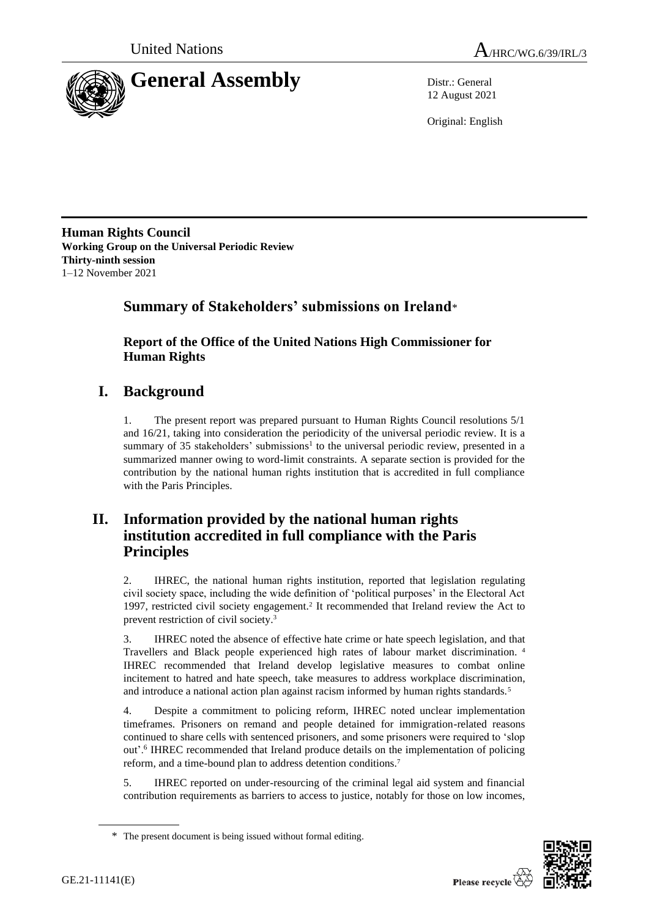

12 August 2021

Original: English

**Human Rights Council Working Group on the Universal Periodic Review Thirty-ninth session** 1–12 November 2021

# **Summary of Stakeholders' submissions on Ireland**\*

**Report of the Office of the United Nations High Commissioner for Human Rights**

# **I. Background**

1. The present report was prepared pursuant to Human Rights Council resolutions 5/1 and 16/21, taking into consideration the periodicity of the universal periodic review. It is a summary of 35 stakeholders' submissions<sup>1</sup> to the universal periodic review, presented in a summarized manner owing to word-limit constraints. A separate section is provided for the contribution by the national human rights institution that is accredited in full compliance with the Paris Principles.

# **II. Information provided by the national human rights institution accredited in full compliance with the Paris Principles**

2. IHREC, the national human rights institution, reported that legislation regulating civil society space, including the wide definition of 'political purposes' in the Electoral Act 1997, restricted civil society engagement.<sup>2</sup> It recommended that Ireland review the Act to prevent restriction of civil society.<sup>3</sup>

3. IHREC noted the absence of effective hate crime or hate speech legislation, and that Travellers and Black people experienced high rates of labour market discrimination. <sup>4</sup> IHREC recommended that Ireland develop legislative measures to combat online incitement to hatred and hate speech, take measures to address workplace discrimination, and introduce a national action plan against racism informed by human rights standards.<sup>5</sup>

4. Despite a commitment to policing reform, IHREC noted unclear implementation timeframes. Prisoners on remand and people detained for immigration-related reasons continued to share cells with sentenced prisoners, and some prisoners were required to 'slop out'.<sup>6</sup> IHREC recommended that Ireland produce details on the implementation of policing reform, and a time-bound plan to address detention conditions.<sup>7</sup>

5. IHREC reported on under-resourcing of the criminal legal aid system and financial contribution requirements as barriers to access to justice, notably for those on low incomes,



<sup>\*</sup> The present document is being issued without formal editing.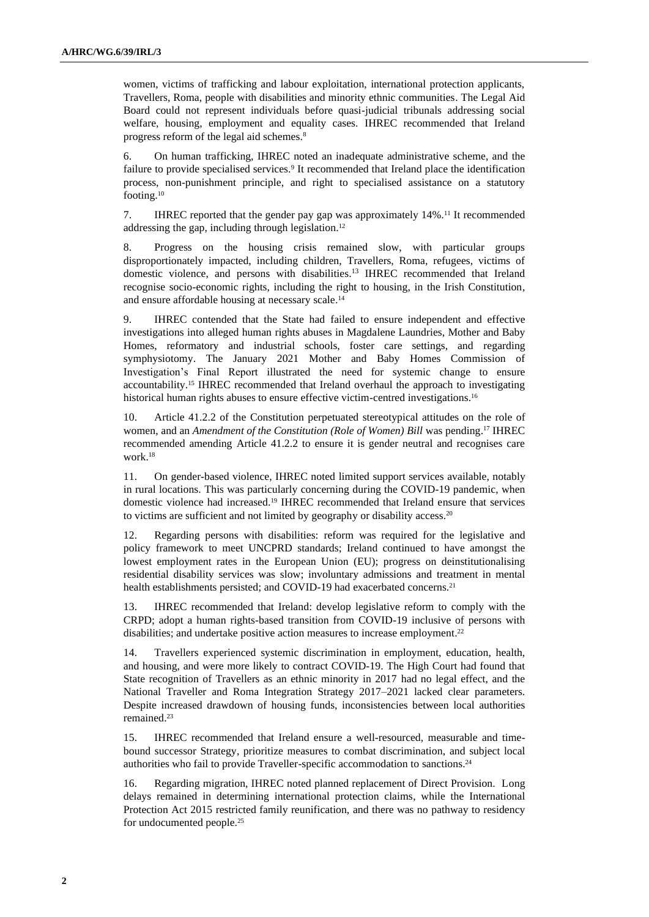women, victims of trafficking and labour exploitation, international protection applicants, Travellers, Roma, people with disabilities and minority ethnic communities. The Legal Aid Board could not represent individuals before quasi-judicial tribunals addressing social welfare, housing, employment and equality cases. IHREC recommended that Ireland progress reform of the legal aid schemes.<sup>8</sup>

6. On human trafficking, IHREC noted an inadequate administrative scheme, and the failure to provide specialised services.<sup>9</sup> It recommended that Ireland place the identification process, non-punishment principle, and right to specialised assistance on a statutory footing.<sup>10</sup>

7. IHREC reported that the gender pay gap was approximately 14%.<sup>11</sup> It recommended addressing the gap, including through legislation.<sup>12</sup>

8. Progress on the housing crisis remained slow, with particular groups disproportionately impacted, including children, Travellers, Roma, refugees, victims of domestic violence, and persons with disabilities.<sup>13</sup> IHREC recommended that Ireland recognise socio-economic rights, including the right to housing, in the Irish Constitution, and ensure affordable housing at necessary scale. 14

9. IHREC contended that the State had failed to ensure independent and effective investigations into alleged human rights abuses in Magdalene Laundries, Mother and Baby Homes, reformatory and industrial schools, foster care settings, and regarding symphysiotomy. The January 2021 Mother and Baby Homes Commission of Investigation's Final Report illustrated the need for systemic change to ensure accountability.<sup>15</sup> IHREC recommended that Ireland overhaul the approach to investigating historical human rights abuses to ensure effective victim-centred investigations. 16

10. Article 41.2.2 of the Constitution perpetuated stereotypical attitudes on the role of women, and an *Amendment of the Constitution (Role of Women) Bill* was pending.<sup>17</sup> IHREC recommended amending Article 41.2.2 to ensure it is gender neutral and recognises care work. 18

11. On gender-based violence, IHREC noted limited support services available, notably in rural locations. This was particularly concerning during the COVID-19 pandemic, when domestic violence had increased.<sup>19</sup> IHREC recommended that Ireland ensure that services to victims are sufficient and not limited by geography or disability access.<sup>20</sup>

12. Regarding persons with disabilities: reform was required for the legislative and policy framework to meet UNCPRD standards; Ireland continued to have amongst the lowest employment rates in the European Union (EU); progress on deinstitutionalising residential disability services was slow; involuntary admissions and treatment in mental health establishments persisted; and COVID-19 had exacerbated concerns.<sup>21</sup>

13. IHREC recommended that Ireland: develop legislative reform to comply with the CRPD; adopt a human rights-based transition from COVID-19 inclusive of persons with disabilities; and undertake positive action measures to increase employment.<sup>22</sup>

14. Travellers experienced systemic discrimination in employment, education, health, and housing, and were more likely to contract COVID-19. The High Court had found that State recognition of Travellers as an ethnic minority in 2017 had no legal effect, and the National Traveller and Roma Integration Strategy 2017–2021 lacked clear parameters. Despite increased drawdown of housing funds, inconsistencies between local authorities remained. 23

15. IHREC recommended that Ireland ensure a well-resourced, measurable and timebound successor Strategy, prioritize measures to combat discrimination, and subject local authorities who fail to provide Traveller-specific accommodation to sanctions. 24

16. Regarding migration, IHREC noted planned replacement of Direct Provision. Long delays remained in determining international protection claims, while the International Protection Act 2015 restricted family reunification, and there was no pathway to residency for undocumented people.25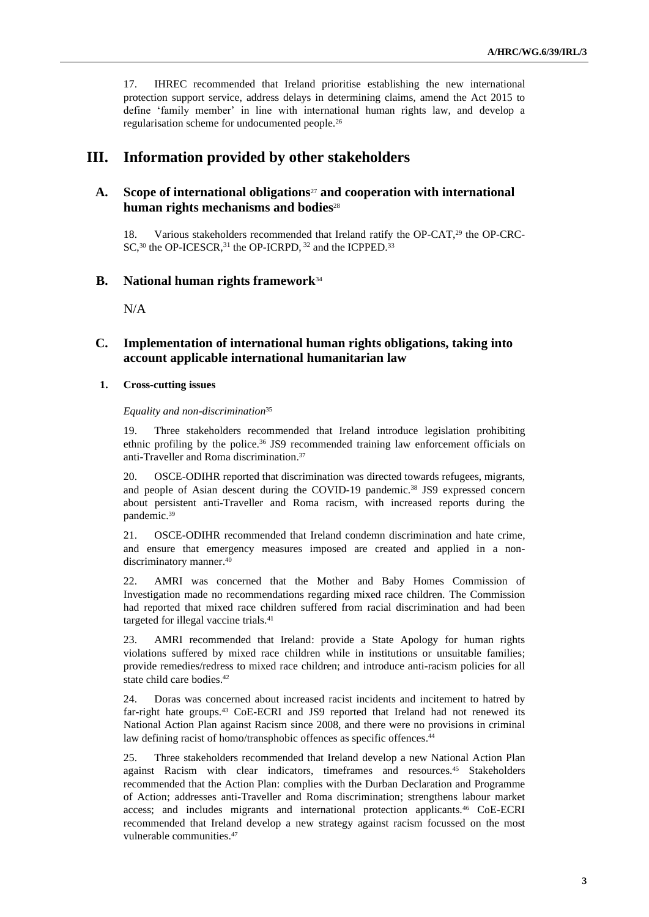17. IHREC recommended that Ireland prioritise establishing the new international protection support service, address delays in determining claims, amend the Act 2015 to define 'family member' in line with international human rights law, and develop a regularisation scheme for undocumented people.<sup>26</sup>

# **III. Information provided by other stakeholders**

# **A. Scope of international obligations**<sup>27</sup> **and cooperation with international human rights mechanisms and bodies**<sup>28</sup>

18. Various stakeholders recommended that Ireland ratify the OP-CAT,<sup>29</sup> the OP-CRC-SC,<sup>30</sup> the OP-ICESCR,<sup>31</sup> the OP-ICRPD, <sup>32</sup> and the ICPPED.<sup>33</sup>

# **B. National human rights framework**<sup>34</sup>

N/A

# **C. Implementation of international human rights obligations, taking into account applicable international humanitarian law**

#### **1. Cross-cutting issues**

#### *Equality and non-discrimination*<sup>35</sup>

19. Three stakeholders recommended that Ireland introduce legislation prohibiting ethnic profiling by the police.<sup>36</sup> JS9 recommended training law enforcement officials on anti-Traveller and Roma discrimination. 37

20. OSCE-ODIHR reported that discrimination was directed towards refugees, migrants, and people of Asian descent during the COVID-19 pandemic.<sup>38</sup> JS9 expressed concern about persistent anti-Traveller and Roma racism, with increased reports during the pandemic. 39

21. OSCE-ODIHR recommended that Ireland condemn discrimination and hate crime, and ensure that emergency measures imposed are created and applied in a nondiscriminatory manner. 40

22. AMRI was concerned that the Mother and Baby Homes Commission of Investigation made no recommendations regarding mixed race children. The Commission had reported that mixed race children suffered from racial discrimination and had been targeted for illegal vaccine trials.<sup>41</sup>

23. AMRI recommended that Ireland: provide a State Apology for human rights violations suffered by mixed race children while in institutions or unsuitable families; provide remedies/redress to mixed race children; and introduce anti-racism policies for all state child care bodies.<sup>42</sup>

24. Doras was concerned about increased racist incidents and incitement to hatred by far-right hate groups.<sup>43</sup> CoE-ECRI and JS9 reported that Ireland had not renewed its National Action Plan against Racism since 2008, and there were no provisions in criminal law defining racist of homo/transphobic offences as specific offences.<sup>44</sup>

25. Three stakeholders recommended that Ireland develop a new National Action Plan against Racism with clear indicators, timeframes and resources.<sup>45</sup> Stakeholders recommended that the Action Plan: complies with the Durban Declaration and Programme of Action; addresses anti-Traveller and Roma discrimination; strengthens labour market access; and includes migrants and international protection applicants.<sup>46</sup> CoE-ECRI recommended that Ireland develop a new strategy against racism focussed on the most vulnerable communities. 47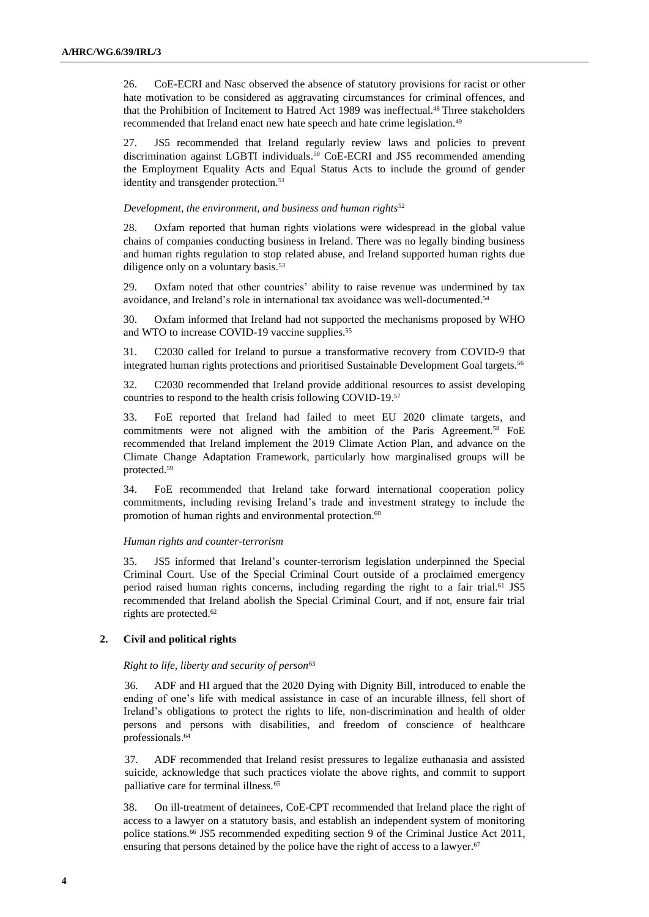26. CoE-ECRI and Nasc observed the absence of statutory provisions for racist or other hate motivation to be considered as aggravating circumstances for criminal offences, and that the Prohibition of Incitement to Hatred Act 1989 was ineffectual. <sup>48</sup> Three stakeholders recommended that Ireland enact new hate speech and hate crime legislation.<sup>49</sup>

27. JS5 recommended that Ireland regularly review laws and policies to prevent discrimination against LGBTI individuals. <sup>50</sup> CoE-ECRI and JS5 recommended amending the Employment Equality Acts and Equal Status Acts to include the ground of gender identity and transgender protection.<sup>51</sup>

#### *Development, the environment, and business and human rights*<sup>52</sup>

28. Oxfam reported that human rights violations were widespread in the global value chains of companies conducting business in Ireland. There was no legally binding business and human rights regulation to stop related abuse, and Ireland supported human rights due diligence only on a voluntary basis. 53

29. Oxfam noted that other countries' ability to raise revenue was undermined by tax avoidance, and Ireland's role in international tax avoidance was well-documented.<sup>54</sup>

30. Oxfam informed that Ireland had not supported the mechanisms proposed by WHO and WTO to increase COVID-19 vaccine supplies. 55

31. C2030 called for Ireland to pursue a transformative recovery from COVID-9 that integrated human rights protections and prioritised Sustainable Development Goal targets. 56

32. C2030 recommended that Ireland provide additional resources to assist developing countries to respond to the health crisis following COVID-19. 57

33. FoE reported that Ireland had failed to meet EU 2020 climate targets, and commitments were not aligned with the ambition of the Paris Agreement.<sup>58</sup> FoE recommended that Ireland implement the 2019 Climate Action Plan, and advance on the Climate Change Adaptation Framework, particularly how marginalised groups will be protected.<sup>59</sup>

34. FoE recommended that Ireland take forward international cooperation policy commitments, including revising Ireland's trade and investment strategy to include the promotion of human rights and environmental protection.<sup>60</sup>

#### *Human rights and counter-terrorism*

35. JS5 informed that Ireland's counter-terrorism legislation underpinned the Special Criminal Court. Use of the Special Criminal Court outside of a proclaimed emergency period raised human rights concerns, including regarding the right to a fair trial.<sup>61</sup> JS5 recommended that Ireland abolish the Special Criminal Court, and if not, ensure fair trial rights are protected.<sup>62</sup>

## **2. Civil and political rights**

#### *Right to life, liberty and security of person*<sup>63</sup>

36. ADF and HI argued that the 2020 Dying with Dignity Bill, introduced to enable the ending of one's life with medical assistance in case of an incurable illness, fell short of Ireland's obligations to protect the rights to life, non-discrimination and health of older persons and persons with disabilities, and freedom of conscience of healthcare professionals. 64

37. ADF recommended that Ireland resist pressures to legalize euthanasia and assisted suicide, acknowledge that such practices violate the above rights, and commit to support palliative care for terminal illness.<sup>65</sup>

38. On ill-treatment of detainees, CoE-CPT recommended that Ireland place the right of access to a lawyer on a statutory basis, and establish an independent system of monitoring police stations.<sup>66</sup> JS5 recommended expediting section 9 of the Criminal Justice Act 2011, ensuring that persons detained by the police have the right of access to a lawyer.<sup>67</sup>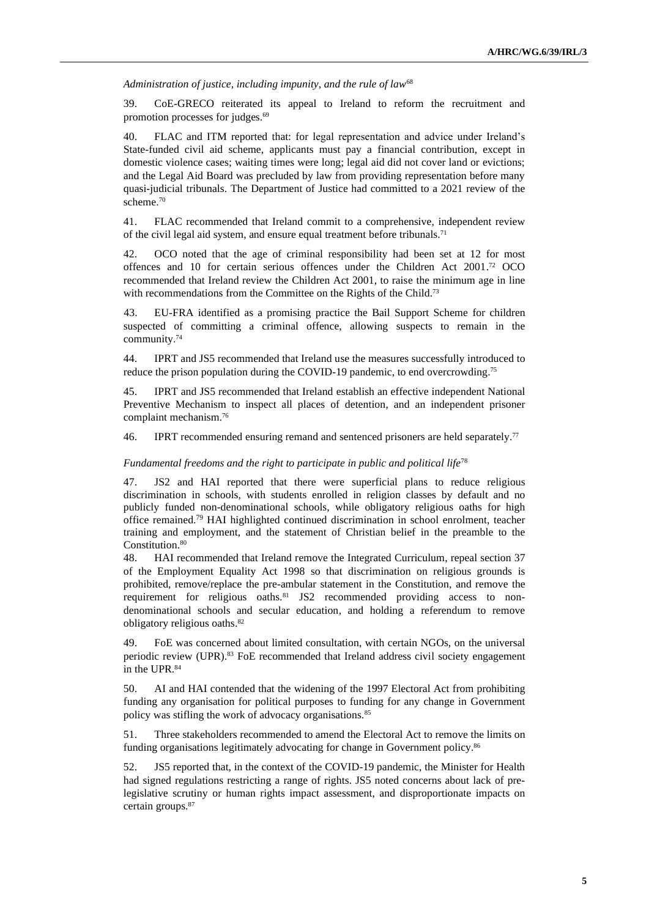*Administration of justice, including impunity, and the rule of law*<sup>68</sup>

39. CoE-GRECO reiterated its appeal to Ireland to reform the recruitment and promotion processes for judges. 69

40. FLAC and ITM reported that: for legal representation and advice under Ireland's State-funded civil aid scheme, applicants must pay a financial contribution, except in domestic violence cases; waiting times were long; legal aid did not cover land or evictions; and the Legal Aid Board was precluded by law from providing representation before many quasi-judicial tribunals. The Department of Justice had committed to a 2021 review of the scheme. 70

41. FLAC recommended that Ireland commit to a comprehensive, independent review of the civil legal aid system, and ensure equal treatment before tribunals.<sup>71</sup>

42. OCO noted that the age of criminal responsibility had been set at 12 for most offences and 10 for certain serious offences under the Children Act 2001. <sup>72</sup> OCO recommended that Ireland review the Children Act 2001, to raise the minimum age in line with recommendations from the Committee on the Rights of the Child.<sup>73</sup>

43. EU-FRA identified as a promising practice the Bail Support Scheme for children suspected of committing a criminal offence, allowing suspects to remain in the community. 74

44. IPRT and JS5 recommended that Ireland use the measures successfully introduced to reduce the prison population during the COVID-19 pandemic, to end overcrowding. 75

45. IPRT and JS5 recommended that Ireland establish an effective independent National Preventive Mechanism to inspect all places of detention, and an independent prisoner complaint mechanism.<sup>76</sup>

46. IPRT recommended ensuring remand and sentenced prisoners are held separately.<sup>77</sup>

#### *Fundamental freedoms and the right to participate in public and political life*<sup>78</sup>

47. JS2 and HAI reported that there were superficial plans to reduce religious discrimination in schools, with students enrolled in religion classes by default and no publicly funded non-denominational schools, while obligatory religious oaths for high office remained. <sup>79</sup> HAI highlighted continued discrimination in school enrolment, teacher training and employment, and the statement of Christian belief in the preamble to the Constitution.<sup>80</sup>

48. HAI recommended that Ireland remove the Integrated Curriculum, repeal section 37 of the Employment Equality Act 1998 so that discrimination on religious grounds is prohibited, remove/replace the pre-ambular statement in the Constitution, and remove the requirement for religious oaths.<sup>81</sup> JS2 recommended providing access to nondenominational schools and secular education, and holding a referendum to remove obligatory religious oaths. 82

49. FoE was concerned about limited consultation, with certain NGOs, on the universal periodic review (UPR).<sup>83</sup> FoE recommended that Ireland address civil society engagement in the UPR. 84

50. AI and HAI contended that the widening of the 1997 Electoral Act from prohibiting funding any organisation for political purposes to funding for any change in Government policy was stifling the work of advocacy organisations.<sup>85</sup>

51. Three stakeholders recommended to amend the Electoral Act to remove the limits on funding organisations legitimately advocating for change in Government policy.<sup>86</sup>

52. JS5 reported that, in the context of the COVID-19 pandemic, the Minister for Health had signed regulations restricting a range of rights. JS5 noted concerns about lack of prelegislative scrutiny or human rights impact assessment, and disproportionate impacts on certain groups.87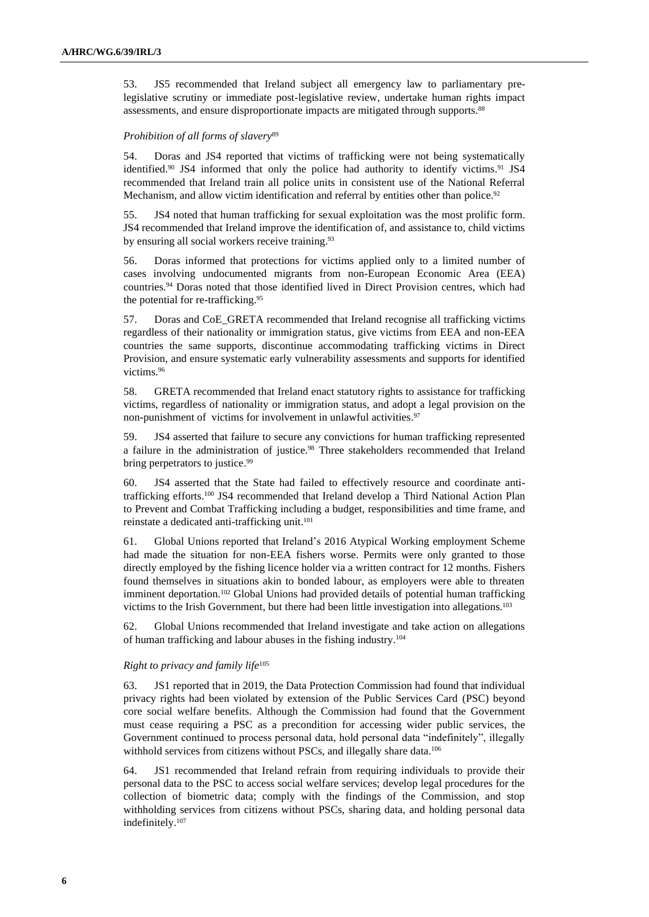53. JS5 recommended that Ireland subject all emergency law to parliamentary prelegislative scrutiny or immediate post-legislative review, undertake human rights impact assessments, and ensure disproportionate impacts are mitigated through supports.<sup>88</sup>

### *Prohibition of all forms of slavery*<sup>89</sup>

54. Doras and JS4 reported that victims of trafficking were not being systematically identified.<sup>90</sup> JS4 informed that only the police had authority to identify victims.<sup>91</sup> JS4 recommended that Ireland train all police units in consistent use of the National Referral Mechanism, and allow victim identification and referral by entities other than police.<sup>92</sup>

55. JS4 noted that human trafficking for sexual exploitation was the most prolific form. JS4 recommended that Ireland improve the identification of, and assistance to, child victims by ensuring all social workers receive training.<sup>93</sup>

56. Doras informed that protections for victims applied only to a limited number of cases involving undocumented migrants from non-European Economic Area (EEA) countries. <sup>94</sup> Doras noted that those identified lived in Direct Provision centres, which had the potential for re-trafficking.<sup>95</sup>

57. Doras and CoE\_GRETA recommended that Ireland recognise all trafficking victims regardless of their nationality or immigration status, give victims from EEA and non-EEA countries the same supports, discontinue accommodating trafficking victims in Direct Provision, and ensure systematic early vulnerability assessments and supports for identified victims. 96

58. GRETA recommended that Ireland enact statutory rights to assistance for trafficking victims, regardless of nationality or immigration status, and adopt a legal provision on the non-punishment of victims for involvement in unlawful activities. 97

59. JS4 asserted that failure to secure any convictions for human trafficking represented a failure in the administration of justice.<sup>98</sup> Three stakeholders recommended that Ireland bring perpetrators to justice.<sup>99</sup>

60. JS4 asserted that the State had failed to effectively resource and coordinate antitrafficking efforts.<sup>100</sup> JS4 recommended that Ireland develop a Third National Action Plan to Prevent and Combat Trafficking including a budget, responsibilities and time frame, and reinstate a dedicated anti-trafficking unit. 101

61. Global Unions reported that Ireland's 2016 Atypical Working employment Scheme had made the situation for non-EEA fishers worse. Permits were only granted to those directly employed by the fishing licence holder via a written contract for 12 months. Fishers found themselves in situations akin to bonded labour, as employers were able to threaten imminent deportation.<sup>102</sup> Global Unions had provided details of potential human trafficking victims to the Irish Government, but there had been little investigation into allegations.<sup>103</sup>

62. Global Unions recommended that Ireland investigate and take action on allegations of human trafficking and labour abuses in the fishing industry.<sup>104</sup>

### *Right to privacy and family life*<sup>105</sup>

63. JS1 reported that in 2019, the Data Protection Commission had found that individual privacy rights had been violated by extension of the Public Services Card (PSC) beyond core social welfare benefits. Although the Commission had found that the Government must cease requiring a PSC as a precondition for accessing wider public services, the Government continued to process personal data, hold personal data "indefinitely", illegally withhold services from citizens without PSCs, and illegally share data.<sup>106</sup>

64. JS1 recommended that Ireland refrain from requiring individuals to provide their personal data to the PSC to access social welfare services; develop legal procedures for the collection of biometric data; comply with the findings of the Commission, and stop withholding services from citizens without PSCs, sharing data, and holding personal data indefinitely.107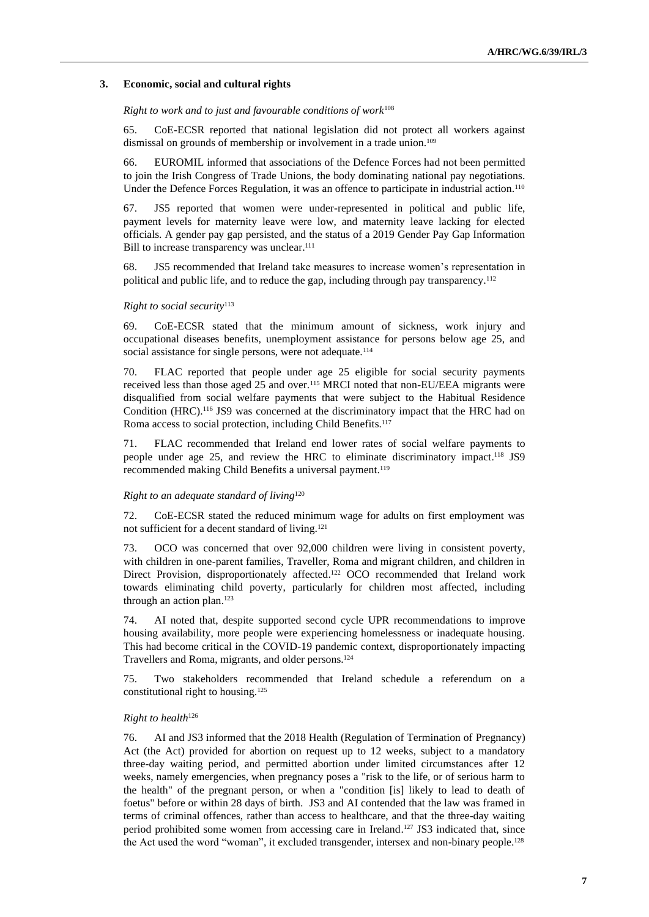#### **3. Economic, social and cultural rights**

#### *Right to work and to just and favourable conditions of work*<sup>108</sup>

65. CoE-ECSR reported that national legislation did not protect all workers against dismissal on grounds of membership or involvement in a trade union.<sup>109</sup>

66. EUROMIL informed that associations of the Defence Forces had not been permitted to join the Irish Congress of Trade Unions, the body dominating national pay negotiations. Under the Defence Forces Regulation, it was an offence to participate in industrial action.<sup>110</sup>

67. JS5 reported that women were under-represented in political and public life, payment levels for maternity leave were low, and maternity leave lacking for elected officials. A gender pay gap persisted, and the status of a 2019 Gender Pay Gap Information Bill to increase transparency was unclear. 111

68. JS5 recommended that Ireland take measures to increase women's representation in political and public life, and to reduce the gap, including through pay transparency.<sup>112</sup>

#### *Right to social security*<sup>113</sup>

69. CoE-ECSR stated that the minimum amount of sickness, work injury and occupational diseases benefits, unemployment assistance for persons below age 25, and social assistance for single persons, were not adequate.<sup>114</sup>

70. FLAC reported that people under age 25 eligible for social security payments received less than those aged 25 and over.<sup>115</sup> MRCI noted that non-EU/EEA migrants were disqualified from social welfare payments that were subject to the Habitual Residence Condition (HRC).<sup>116</sup> JS9 was concerned at the discriminatory impact that the HRC had on Roma access to social protection, including Child Benefits.<sup>117</sup>

71. FLAC recommended that Ireland end lower rates of social welfare payments to people under age 25, and review the HRC to eliminate discriminatory impact.<sup>118</sup> JS9 recommended making Child Benefits a universal payment.<sup>119</sup>

#### *Right to an adequate standard of living*<sup>120</sup>

72. CoE-ECSR stated the reduced minimum wage for adults on first employment was not sufficient for a decent standard of living.<sup>121</sup>

73. OCO was concerned that over 92,000 children were living in consistent poverty, with children in one-parent families, Traveller, Roma and migrant children, and children in Direct Provision, disproportionately affected. <sup>122</sup> OCO recommended that Ireland work towards eliminating child poverty, particularly for children most affected, including through an action plan. 123

74. AI noted that, despite supported second cycle UPR recommendations to improve housing availability, more people were experiencing homelessness or inadequate housing. This had become critical in the COVID-19 pandemic context, disproportionately impacting Travellers and Roma, migrants, and older persons.<sup>124</sup>

75. Two stakeholders recommended that Ireland schedule a referendum on a constitutional right to housing.<sup>125</sup>

#### *Right to health*<sup>126</sup>

76. AI and JS3 informed that the 2018 Health (Regulation of Termination of Pregnancy) Act (the Act) provided for abortion on request up to 12 weeks, subject to a mandatory three-day waiting period, and permitted abortion under limited circumstances after 12 weeks, namely emergencies, when pregnancy poses a "risk to the life, or of serious harm to the health" of the pregnant person, or when a "condition [is] likely to lead to death of foetus" before or within 28 days of birth. JS3 and AI contended that the law was framed in terms of criminal offences, rather than access to healthcare, and that the three-day waiting period prohibited some women from accessing care in Ireland. <sup>127</sup> JS3 indicated that, since the Act used the word "woman", it excluded transgender, intersex and non-binary people.<sup>128</sup>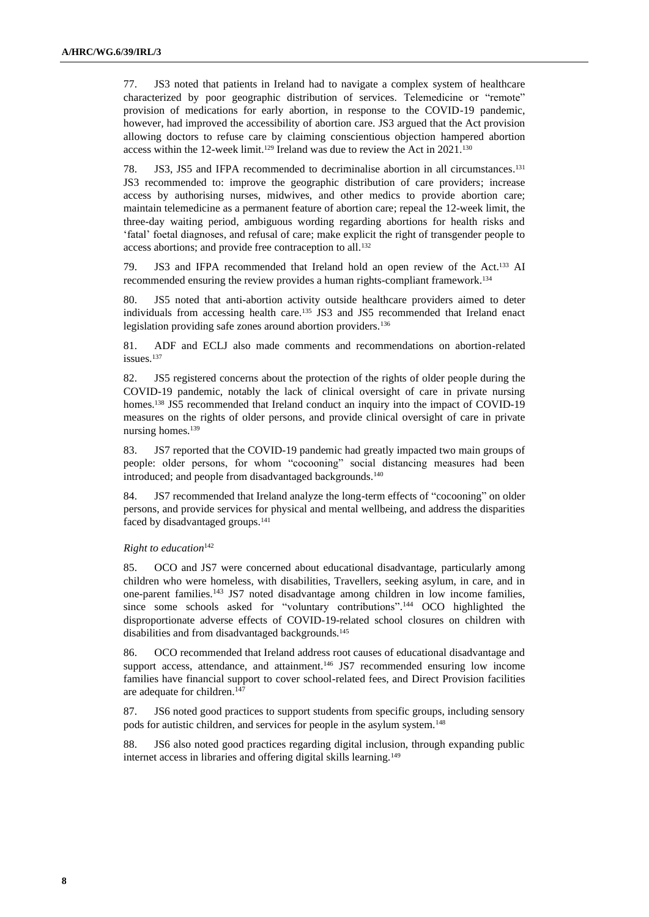77. JS3 noted that patients in Ireland had to navigate a complex system of healthcare characterized by poor geographic distribution of services. Telemedicine or "remote" provision of medications for early abortion, in response to the COVID-19 pandemic, however, had improved the accessibility of abortion care. JS3 argued that the Act provision allowing doctors to refuse care by claiming conscientious objection hampered abortion access within the 12-week limit.<sup>129</sup> Ireland was due to review the Act in 2021.<sup>130</sup>

78. JS3, JS5 and IFPA recommended to decriminalise abortion in all circumstances. 131 JS3 recommended to: improve the geographic distribution of care providers; increase access by authorising nurses, midwives, and other medics to provide abortion care; maintain telemedicine as a permanent feature of abortion care; repeal the 12-week limit, the three-day waiting period, ambiguous wording regarding abortions for health risks and 'fatal' foetal diagnoses, and refusal of care; make explicit the right of transgender people to access abortions; and provide free contraception to all.<sup>132</sup>

79. JS3 and IFPA recommended that Ireland hold an open review of the Act.<sup>133</sup> AI recommended ensuring the review provides a human rights-compliant framework.<sup>134</sup>

80. JS5 noted that anti-abortion activity outside healthcare providers aimed to deter individuals from accessing health care.<sup>135</sup> JS3 and JS5 recommended that Ireland enact legislation providing safe zones around abortion providers.<sup>136</sup>

81. ADF and ECLJ also made comments and recommendations on abortion-related issues.<sup>137</sup>

82. JS5 registered concerns about the protection of the rights of older people during the COVID-19 pandemic, notably the lack of clinical oversight of care in private nursing homes.<sup>138</sup> JS5 recommended that Ireland conduct an inquiry into the impact of COVID-19 measures on the rights of older persons, and provide clinical oversight of care in private nursing homes.<sup>139</sup>

83. JS7 reported that the COVID-19 pandemic had greatly impacted two main groups of people: older persons, for whom "cocooning" social distancing measures had been introduced; and people from disadvantaged backgrounds.<sup>140</sup>

84. JS7 recommended that Ireland analyze the long-term effects of "cocooning" on older persons, and provide services for physical and mental wellbeing, and address the disparities faced by disadvantaged groups.<sup>141</sup>

#### *Right to education*<sup>142</sup>

85. OCO and JS7 were concerned about educational disadvantage, particularly among children who were homeless, with disabilities, Travellers, seeking asylum, in care, and in one-parent families.<sup>143</sup> JS7 noted disadvantage among children in low income families, since some schools asked for "voluntary contributions". <sup>144</sup> OCO highlighted the disproportionate adverse effects of COVID-19-related school closures on children with disabilities and from disadvantaged backgrounds.<sup>145</sup>

86. OCO recommended that Ireland address root causes of educational disadvantage and support access, attendance, and attainment.<sup>146</sup> JS7 recommended ensuring low income families have financial support to cover school-related fees, and Direct Provision facilities are adequate for children.<sup>147</sup>

87. JS6 noted good practices to support students from specific groups, including sensory pods for autistic children, and services for people in the asylum system.<sup>148</sup>

88. JS6 also noted good practices regarding digital inclusion, through expanding public internet access in libraries and offering digital skills learning.149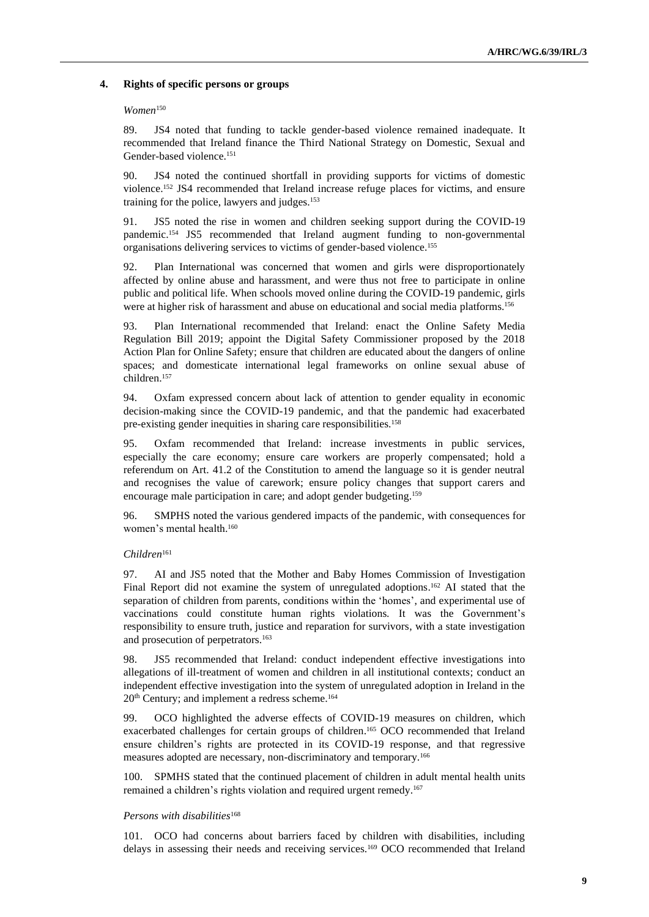#### **4. Rights of specific persons or groups**

#### *Women*<sup>150</sup>

89. JS4 noted that funding to tackle gender-based violence remained inadequate. It recommended that Ireland finance the Third National Strategy on Domestic, Sexual and Gender-based violence.<sup>151</sup>

90. JS4 noted the continued shortfall in providing supports for victims of domestic violence.<sup>152</sup> JS4 recommended that Ireland increase refuge places for victims, and ensure training for the police, lawyers and judges. 153

91. JS5 noted the rise in women and children seeking support during the COVID-19 pandemic.<sup>154</sup> JS5 recommended that Ireland augment funding to non-governmental organisations delivering services to victims of gender-based violence.<sup>155</sup>

92. Plan International was concerned that women and girls were disproportionately affected by online abuse and harassment, and were thus not free to participate in online public and political life. When schools moved online during the COVID-19 pandemic, girls were at higher risk of harassment and abuse on educational and social media platforms. 156

93. Plan International recommended that Ireland: enact the Online Safety Media Regulation Bill 2019; appoint the Digital Safety Commissioner proposed by the 2018 Action Plan for Online Safety; ensure that children are educated about the dangers of online spaces; and domesticate international legal frameworks on online sexual abuse of children. 157

94. Oxfam expressed concern about lack of attention to gender equality in economic decision-making since the COVID-19 pandemic, and that the pandemic had exacerbated pre-existing gender inequities in sharing care responsibilities. 158

95. Oxfam recommended that Ireland: increase investments in public services, especially the care economy; ensure care workers are properly compensated; hold a referendum on Art. 41.2 of the Constitution to amend the language so it is gender neutral and recognises the value of carework; ensure policy changes that support carers and encourage male participation in care; and adopt gender budgeting.<sup>159</sup>

96. SMPHS noted the various gendered impacts of the pandemic, with consequences for women's mental health. 160

#### *Children*<sup>161</sup>

97. AI and JS5 noted that the Mother and Baby Homes Commission of Investigation Final Report did not examine the system of unregulated adoptions.<sup>162</sup> AI stated that the separation of children from parents, conditions within the 'homes', and experimental use of vaccinations could constitute human rights violations. It was the Government's responsibility to ensure truth, justice and reparation for survivors, with a state investigation and prosecution of perpetrators. 163

98. JS5 recommended that Ireland: conduct independent effective investigations into allegations of ill-treatment of women and children in all institutional contexts; conduct an independent effective investigation into the system of unregulated adoption in Ireland in the 20<sup>th</sup> Century; and implement a redress scheme.<sup>164</sup>

99. OCO highlighted the adverse effects of COVID-19 measures on children, which exacerbated challenges for certain groups of children.<sup>165</sup> OCO recommended that Ireland ensure children's rights are protected in its COVID-19 response, and that regressive measures adopted are necessary, non-discriminatory and temporary.<sup>166</sup>

100. SPMHS stated that the continued placement of children in adult mental health units remained a children's rights violation and required urgent remedy.<sup>167</sup>

#### *Persons with disabilities*<sup>168</sup>

101. OCO had concerns about barriers faced by children with disabilities, including delays in assessing their needs and receiving services.<sup>169</sup> OCO recommended that Ireland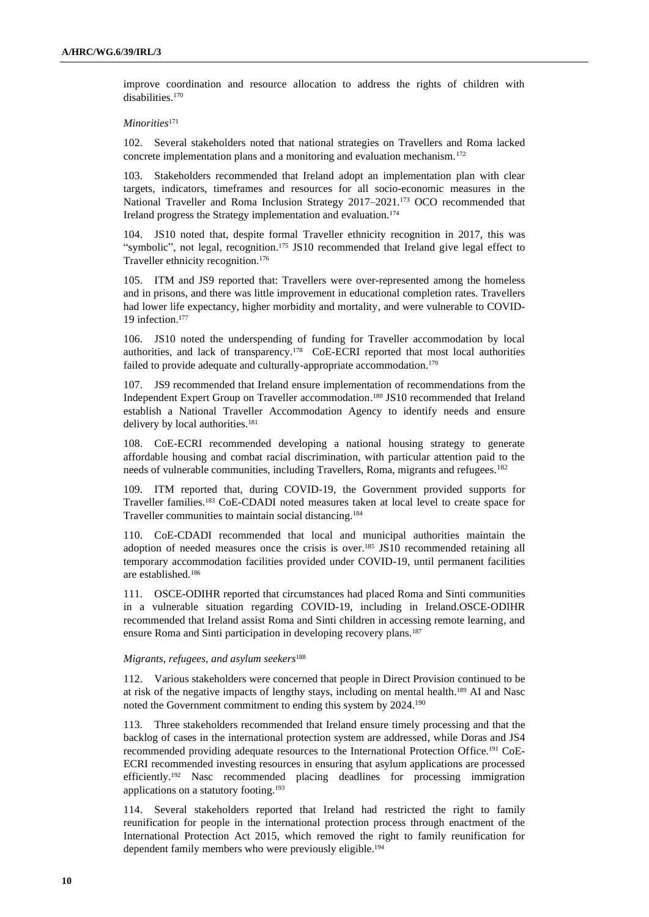improve coordination and resource allocation to address the rights of children with disabilities.<sup>170</sup>

#### *Minorities*<sup>171</sup>

102. Several stakeholders noted that national strategies on Travellers and Roma lacked concrete implementation plans and a monitoring and evaluation mechanism.<sup>172</sup>

103. Stakeholders recommended that Ireland adopt an implementation plan with clear targets, indicators, timeframes and resources for all socio-economic measures in the National Traveller and Roma Inclusion Strategy 2017–2021.<sup>173</sup> OCO recommended that Ireland progress the Strategy implementation and evaluation.<sup>174</sup>

104. JS10 noted that, despite formal Traveller ethnicity recognition in 2017, this was "symbolic", not legal, recognition. <sup>175</sup> JS10 recommended that Ireland give legal effect to Traveller ethnicity recognition.<sup>176</sup>

105. ITM and JS9 reported that: Travellers were over-represented among the homeless and in prisons, and there was little improvement in educational completion rates. Travellers had lower life expectancy, higher morbidity and mortality, and were vulnerable to COVID-19 infection. 177

106. JS10 noted the underspending of funding for Traveller accommodation by local authorities, and lack of transparency.<sup>178</sup> CoE-ECRI reported that most local authorities failed to provide adequate and culturally-appropriate accommodation.<sup>179</sup>

107. JS9 recommended that Ireland ensure implementation of recommendations from the Independent Expert Group on Traveller accommodation. <sup>180</sup> JS10 recommended that Ireland establish a National Traveller Accommodation Agency to identify needs and ensure delivery by local authorities.<sup>181</sup>

108. CoE-ECRI recommended developing a national housing strategy to generate affordable housing and combat racial discrimination, with particular attention paid to the needs of vulnerable communities, including Travellers, Roma, migrants and refugees.<sup>182</sup>

109. ITM reported that, during COVID-19, the Government provided supports for Traveller families. <sup>183</sup> CoE-CDADI noted measures taken at local level to create space for Traveller communities to maintain social distancing.<sup>184</sup>

110. CoE-CDADI recommended that local and municipal authorities maintain the adoption of needed measures once the crisis is over.<sup>185</sup> JS10 recommended retaining all temporary accommodation facilities provided under COVID-19, until permanent facilities are established.<sup>186</sup>

111. OSCE-ODIHR reported that circumstances had placed Roma and Sinti communities in a vulnerable situation regarding COVID-19, including in Ireland.OSCE-ODIHR recommended that Ireland assist Roma and Sinti children in accessing remote learning, and ensure Roma and Sinti participation in developing recovery plans.<sup>187</sup>

#### *Migrants, refugees, and asylum seekers*<sup>188</sup>

112. Various stakeholders were concerned that people in Direct Provision continued to be at risk of the negative impacts of lengthy stays, including on mental health. <sup>189</sup> AI and Nasc noted the Government commitment to ending this system by 2024.<sup>190</sup>

113. Three stakeholders recommended that Ireland ensure timely processing and that the backlog of cases in the international protection system are addressed, while Doras and JS4 recommended providing adequate resources to the International Protection Office.<sup>191</sup> CoE-ECRI recommended investing resources in ensuring that asylum applications are processed efficiently. <sup>192</sup> Nasc recommended placing deadlines for processing immigration applications on a statutory footing.<sup>193</sup>

114. Several stakeholders reported that Ireland had restricted the right to family reunification for people in the international protection process through enactment of the International Protection Act 2015, which removed the right to family reunification for dependent family members who were previously eligible. 194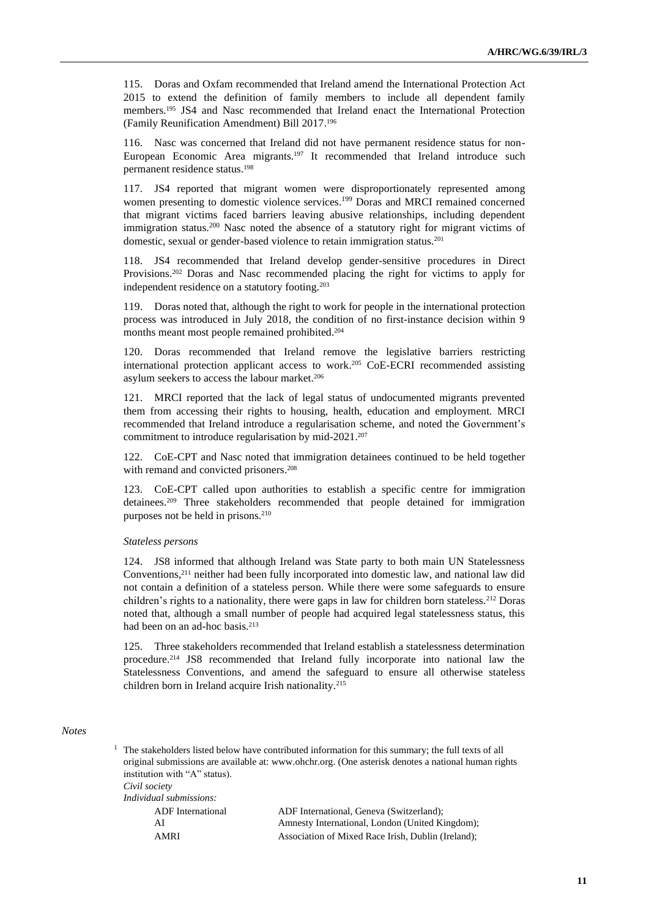115. Doras and Oxfam recommended that Ireland amend the International Protection Act 2015 to extend the definition of family members to include all dependent family members. <sup>195</sup> JS4 and Nasc recommended that Ireland enact the International Protection (Family Reunification Amendment) Bill 2017. 196

116. Nasc was concerned that Ireland did not have permanent residence status for non-European Economic Area migrants.<sup>197</sup> It recommended that Ireland introduce such permanent residence status.<sup>198</sup>

117. JS4 reported that migrant women were disproportionately represented among women presenting to domestic violence services.<sup>199</sup> Doras and MRCI remained concerned that migrant victims faced barriers leaving abusive relationships, including dependent immigration status.<sup>200</sup> Nasc noted the absence of a statutory right for migrant victims of domestic, sexual or gender-based violence to retain immigration status.<sup>201</sup>

118. JS4 recommended that Ireland develop gender-sensitive procedures in Direct Provisions.<sup>202</sup> Doras and Nasc recommended placing the right for victims to apply for independent residence on a statutory footing.<sup>203</sup>

119. Doras noted that, although the right to work for people in the international protection process was introduced in July 2018, the condition of no first-instance decision within 9 months meant most people remained prohibited. 204

120. Doras recommended that Ireland remove the legislative barriers restricting international protection applicant access to work.<sup>205</sup> CoE-ECRI recommended assisting asylum seekers to access the labour market.<sup>206</sup>

121. MRCI reported that the lack of legal status of undocumented migrants prevented them from accessing their rights to housing, health, education and employment. MRCI recommended that Ireland introduce a regularisation scheme, and noted the Government's commitment to introduce regularisation by mid-2021. 207

122. CoE-CPT and Nasc noted that immigration detainees continued to be held together with remand and convicted prisoners. 208

123. CoE-CPT called upon authorities to establish a specific centre for immigration detainees. <sup>209</sup> Three stakeholders recommended that people detained for immigration purposes not be held in prisons. 210

#### *Stateless persons*

124. JS8 informed that although Ireland was State party to both main UN Statelessness Conventions, <sup>211</sup> neither had been fully incorporated into domestic law, and national law did not contain a definition of a stateless person. While there were some safeguards to ensure children's rights to a nationality, there were gaps in law for children born stateless.<sup>212</sup> Doras noted that, although a small number of people had acquired legal statelessness status, this had been on an ad-hoc basis.<sup>213</sup>

125. Three stakeholders recommended that Ireland establish a statelessness determination procedure.<sup>214</sup> JS8 recommended that Ireland fully incorporate into national law the Statelessness Conventions, and amend the safeguard to ensure all otherwise stateless children born in Ireland acquire Irish nationality.<sup>215</sup>

## *Notes*

<sup>1</sup> The stakeholders listed below have contributed information for this summary; the full texts of all original submissions are available at: [www.ohchr.org.](http://www.ohchr.org/) (One asterisk denotes a national human rights institution with "A" status).

*Civil society Individual submissions:*

| u ruuuu saomassaons. |                                                    |
|----------------------|----------------------------------------------------|
| ADF International    | ADF International, Geneva (Switzerland);           |
| AI                   | Amnesty International, London (United Kingdom);    |
| AMRI                 | Association of Mixed Race Irish, Dublin (Ireland); |
|                      |                                                    |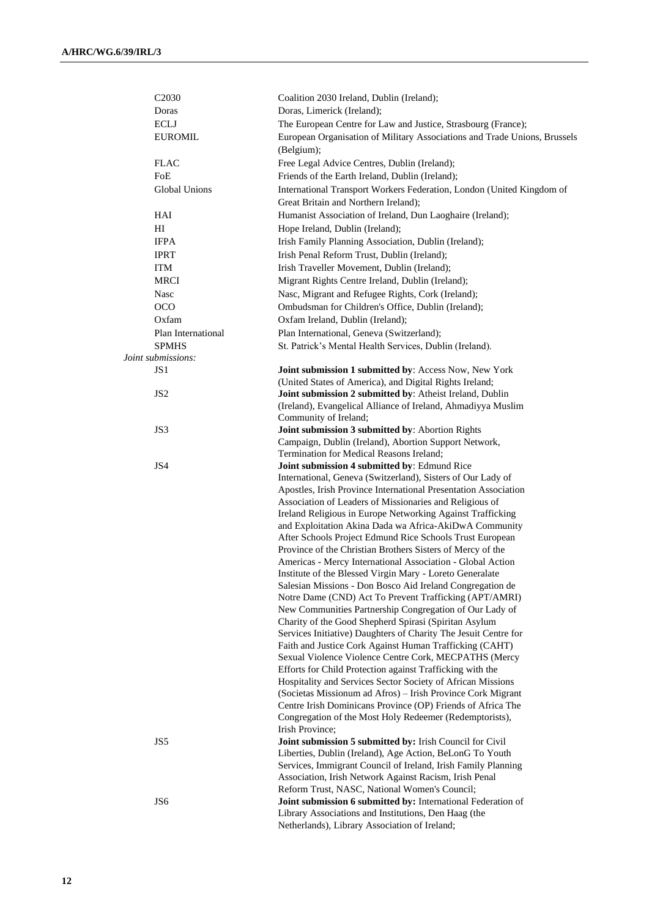| C <sub>2030</sub>  | Coalition 2030 Ireland, Dublin (Ireland);                                                                                |
|--------------------|--------------------------------------------------------------------------------------------------------------------------|
| Doras              | Doras, Limerick (Ireland);                                                                                               |
| <b>ECLJ</b>        | The European Centre for Law and Justice, Strasbourg (France);                                                            |
| <b>EUROMIL</b>     | European Organisation of Military Associations and Trade Unions, Brussels                                                |
|                    | (Belgium);                                                                                                               |
| <b>FLAC</b>        | Free Legal Advice Centres, Dublin (Ireland);                                                                             |
| FoE                | Friends of the Earth Ireland, Dublin (Ireland);                                                                          |
| Global Unions      | International Transport Workers Federation, London (United Kingdom of                                                    |
|                    | Great Britain and Northern Ireland);                                                                                     |
| HAI                | Humanist Association of Ireland, Dun Laoghaire (Ireland);                                                                |
| H <sub>I</sub>     | Hope Ireland, Dublin (Ireland);                                                                                          |
| <b>IFPA</b>        | Irish Family Planning Association, Dublin (Ireland);                                                                     |
| <b>IPRT</b>        | Irish Penal Reform Trust, Dublin (Ireland);                                                                              |
| ITM                | Irish Traveller Movement, Dublin (Ireland);                                                                              |
| <b>MRCI</b>        | Migrant Rights Centre Ireland, Dublin (Ireland);                                                                         |
| Nasc               |                                                                                                                          |
|                    | Nasc, Migrant and Refugee Rights, Cork (Ireland);                                                                        |
| <b>OCO</b>         | Ombudsman for Children's Office, Dublin (Ireland);                                                                       |
| Oxfam              | Oxfam Ireland, Dublin (Ireland);                                                                                         |
| Plan International | Plan International, Geneva (Switzerland);                                                                                |
| <b>SPMHS</b>       | St. Patrick's Mental Health Services, Dublin (Ireland).                                                                  |
| Joint submissions: |                                                                                                                          |
| JS 1               | Joint submission 1 submitted by: Access Now, New York                                                                    |
|                    | (United States of America), and Digital Rights Ireland;                                                                  |
| JS <sub>2</sub>    | Joint submission 2 submitted by: Atheist Ireland, Dublin<br>(Ireland), Evangelical Alliance of Ireland, Ahmadiyya Muslim |
|                    | Community of Ireland;                                                                                                    |
| JS3                | Joint submission 3 submitted by: Abortion Rights                                                                         |
|                    | Campaign, Dublin (Ireland), Abortion Support Network,                                                                    |
|                    | Termination for Medical Reasons Ireland;                                                                                 |
| JS4                | Joint submission 4 submitted by: Edmund Rice                                                                             |
|                    | International, Geneva (Switzerland), Sisters of Our Lady of                                                              |
|                    | Apostles, Irish Province International Presentation Association                                                          |
|                    | Association of Leaders of Missionaries and Religious of                                                                  |
|                    | Ireland Religious in Europe Networking Against Trafficking                                                               |
|                    | and Exploitation Akina Dada wa Africa-AkiDwA Community                                                                   |
|                    | After Schools Project Edmund Rice Schools Trust European                                                                 |
|                    | Province of the Christian Brothers Sisters of Mercy of the                                                               |
|                    | Americas - Mercy International Association - Global Action                                                               |
|                    | Institute of the Blessed Virgin Mary - Loreto Generalate                                                                 |
|                    | Salesian Missions - Don Bosco Aid Ireland Congregation de                                                                |
|                    | Notre Dame (CND) Act To Prevent Trafficking (APT/AMRI)                                                                   |
|                    | New Communities Partnership Congregation of Our Lady of                                                                  |
|                    | Charity of the Good Shepherd Spirasi (Spiritan Asylum                                                                    |
|                    | Services Initiative) Daughters of Charity The Jesuit Centre for                                                          |
|                    | Faith and Justice Cork Against Human Trafficking (CAHT)                                                                  |
|                    | Sexual Violence Violence Centre Cork, MECPATHS (Mercy<br>Efforts for Child Protection against Trafficking with the       |
|                    | Hospitality and Services Sector Society of African Missions                                                              |
|                    | (Societas Missionum ad Afros) – Irish Province Cork Migrant                                                              |
|                    | Centre Irish Dominicans Province (OP) Friends of Africa The                                                              |
|                    | Congregation of the Most Holy Redeemer (Redemptorists),                                                                  |
|                    | Irish Province;                                                                                                          |
| JS5                | Joint submission 5 submitted by: Irish Council for Civil                                                                 |
|                    | Liberties, Dublin (Ireland), Age Action, BeLonG To Youth                                                                 |
|                    | Services, Immigrant Council of Ireland, Irish Family Planning                                                            |
|                    | Association, Irish Network Against Racism, Irish Penal                                                                   |
|                    | Reform Trust, NASC, National Women's Council;                                                                            |
| JS6                | Joint submission 6 submitted by: International Federation of                                                             |
|                    | Library Associations and Institutions, Den Haag (the                                                                     |
|                    | Netherlands), Library Association of Ireland;                                                                            |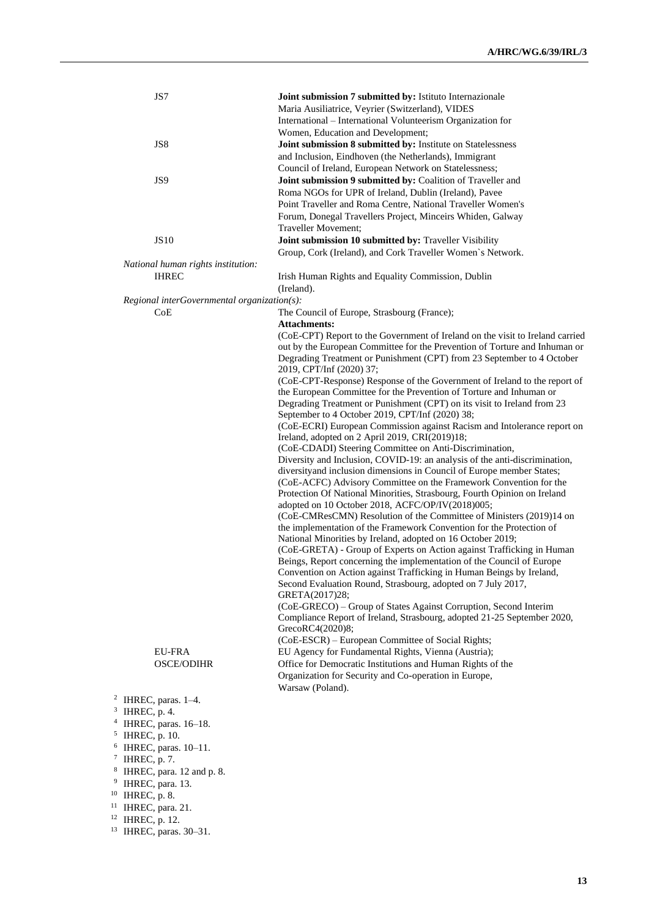| JS7                                                     | Joint submission 7 submitted by: Istituto Internazionale<br>Maria Ausiliatrice, Veyrier (Switzerland), VIDES<br>International - International Volunteerism Organization for                                                                                                                                                                              |
|---------------------------------------------------------|----------------------------------------------------------------------------------------------------------------------------------------------------------------------------------------------------------------------------------------------------------------------------------------------------------------------------------------------------------|
| JS8                                                     | Women, Education and Development;<br>Joint submission 8 submitted by: Institute on Statelessness<br>and Inclusion, Eindhoven (the Netherlands), Immigrant                                                                                                                                                                                                |
| JS <sub>9</sub>                                         | Council of Ireland, European Network on Statelessness;<br>Joint submission 9 submitted by: Coalition of Traveller and<br>Roma NGOs for UPR of Ireland, Dublin (Ireland), Pavee<br>Point Traveller and Roma Centre, National Traveller Women's<br>Forum, Donegal Travellers Project, Minceirs Whiden, Galway<br>Traveller Movement;                       |
| <b>JS10</b>                                             | Joint submission 10 submitted by: Traveller Visibility<br>Group, Cork (Ireland), and Cork Traveller Women's Network.                                                                                                                                                                                                                                     |
| National human rights institution:                      |                                                                                                                                                                                                                                                                                                                                                          |
| <b>IHREC</b>                                            | Irish Human Rights and Equality Commission, Dublin<br>(Ireland).                                                                                                                                                                                                                                                                                         |
| Regional interGovernmental organization(s):             |                                                                                                                                                                                                                                                                                                                                                          |
| CoE                                                     | The Council of Europe, Strasbourg (France);                                                                                                                                                                                                                                                                                                              |
|                                                         | <b>Attachments:</b>                                                                                                                                                                                                                                                                                                                                      |
|                                                         | (CoE-CPT) Report to the Government of Ireland on the visit to Ireland carried<br>out by the European Committee for the Prevention of Torture and Inhuman or<br>Degrading Treatment or Punishment (CPT) from 23 September to 4 October<br>2019, CPT/Inf (2020) 37;                                                                                        |
|                                                         | (CoE-CPT-Response) Response of the Government of Ireland to the report of<br>the European Committee for the Prevention of Torture and Inhuman or<br>Degrading Treatment or Punishment (CPT) on its visit to Ireland from 23<br>September to 4 October 2019, CPT/Inf (2020) 38;                                                                           |
|                                                         | (CoE-ECRI) European Commission against Racism and Intolerance report on<br>Ireland, adopted on 2 April 2019, CRI(2019)18;                                                                                                                                                                                                                                |
|                                                         | (CoE-CDADI) Steering Committee on Anti-Discrimination,                                                                                                                                                                                                                                                                                                   |
|                                                         | Diversity and Inclusion, COVID-19: an analysis of the anti-discrimination,<br>diversityand inclusion dimensions in Council of Europe member States;<br>(CoE-ACFC) Advisory Committee on the Framework Convention for the<br>Protection Of National Minorities, Strasbourg, Fourth Opinion on Ireland<br>adopted on 10 October 2018, ACFC/OP/IV(2018)005; |
|                                                         | (CoE-CMResCMN) Resolution of the Committee of Ministers (2019)14 on<br>the implementation of the Framework Convention for the Protection of<br>National Minorities by Ireland, adopted on 16 October 2019;<br>(CoE-GRETA) - Group of Experts on Action against Trafficking in Human                                                                      |
|                                                         | Beings, Report concerning the implementation of the Council of Europe<br>Convention on Action against Trafficking in Human Beings by Ireland,<br>Second Evaluation Round, Strasbourg, adopted on 7 July 2017,<br>GRETA(2017)28;                                                                                                                          |
|                                                         | (CoE-GRECO) – Group of States Against Corruption, Second Interim<br>Compliance Report of Ireland, Strasbourg, adopted 21-25 September 2020,<br>GrecoRC4(2020)8;<br>(CoE-ESCR) – European Committee of Social Rights;                                                                                                                                     |
| EU-FRA                                                  | EU Agency for Fundamental Rights, Vienna (Austria);                                                                                                                                                                                                                                                                                                      |
| <b>OSCE/ODIHR</b>                                       | Office for Democratic Institutions and Human Rights of the                                                                                                                                                                                                                                                                                               |
|                                                         | Organization for Security and Co-operation in Europe,<br>Warsaw (Poland).                                                                                                                                                                                                                                                                                |
| <sup>2</sup> IHREC, paras. $1-4$ .                      |                                                                                                                                                                                                                                                                                                                                                          |
| $3$ IHREC, p. 4.                                        |                                                                                                                                                                                                                                                                                                                                                          |
| $4$ IHREC, paras. $16-18$ .                             |                                                                                                                                                                                                                                                                                                                                                          |
| <sup>5</sup> IHREC, p. 10.<br>IHREC, paras. 10-11.<br>6 |                                                                                                                                                                                                                                                                                                                                                          |
| $7$ IHREC, p. 7.                                        |                                                                                                                                                                                                                                                                                                                                                          |
| IHREC, para. 12 and p. 8.<br>8                          |                                                                                                                                                                                                                                                                                                                                                          |
| 9<br>IHREC, para. 13.                                   |                                                                                                                                                                                                                                                                                                                                                          |
| IHREC, p. 8.                                            |                                                                                                                                                                                                                                                                                                                                                          |

- <sup>11</sup> IHREC, para. 21.
- <sup>12</sup> IHREC, p. 12.
- <sup>13</sup> IHREC, paras. 30–31.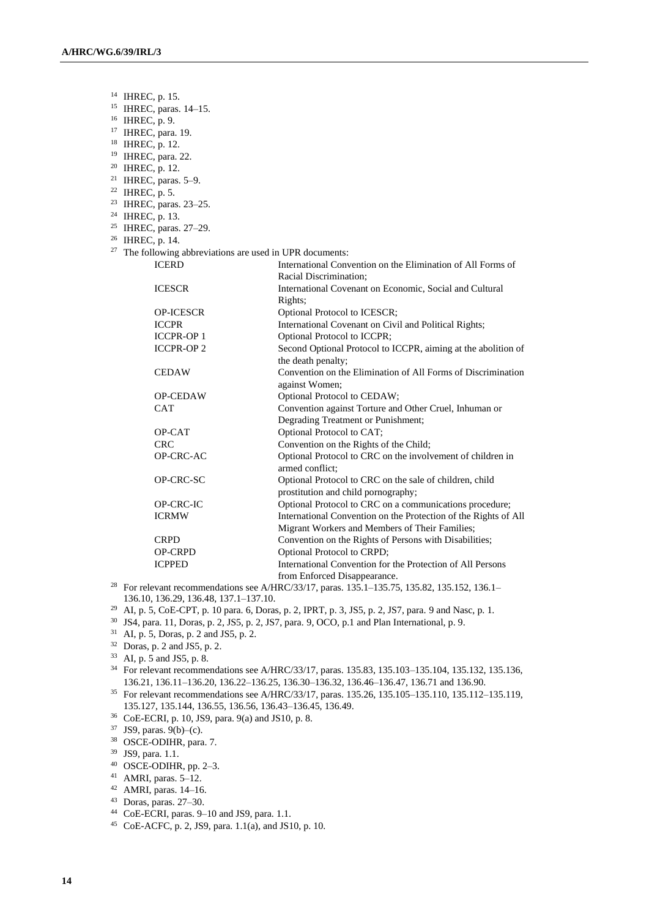<sup>14</sup> IHREC, p. 15. <sup>15</sup> IHREC, paras. 14–15. <sup>16</sup> IHREC, p. 9. <sup>17</sup> IHREC, para. 19. <sup>18</sup> IHREC, p. 12. <sup>19</sup> IHREC, para. 22. <sup>20</sup> IHREC, p. 12. <sup>21</sup> IHREC, paras. 5–9. <sup>22</sup> IHREC, p. 5. <sup>23</sup> IHREC, paras. 23–25. <sup>24</sup> IHREC, p. 13. <sup>25</sup> IHREC, paras. 27–29. <sup>26</sup> IHREC, p. 14.  $27$  The following abbreviations are used in UPR documents: ICERD International Convention on the Elimination of All Forms of Racial Discrimination; ICESCR International Covenant on Economic, Social and Cultural Rights; OP-ICESCR Optional Protocol to ICESCR; ICCPR International Covenant on Civil and Political Rights; ICCPR-OP 1 Optional Protocol to ICCPR; ICCPR-OP 2 Second Optional Protocol to ICCPR, aiming at the abolition of the death penalty; CEDAW Convention on the Elimination of All Forms of Discrimination against Women; OP-CEDAW Optional Protocol to CEDAW; CAT Convention against Torture and Other Cruel, Inhuman or Degrading Treatment or Punishment; OP-CAT Optional Protocol to CAT; CRC Convention on the Rights of the Child;<br>OP-CRC-AC Optional Protocol to CRC on the involvements Optional Protocol to CRC on the involvement of children in armed conflict; OP-CRC-SC Optional Protocol to CRC on the sale of children, child prostitution and child pornography; OP-CRC-IC Optional Protocol to CRC on a communications procedure; ICRMW International Convention on the Protection of the Rights of All Migrant Workers and Members of Their Families; CRPD Convention on the Rights of Persons with Disabilities; OP-CRPD Optional Protocol to CRPD; ICPPED International Convention for the Protection of All Persons from Enforced Disappearance.

<sup>28</sup> For relevant recommendations see A/HRC/33/17, paras. 135.1–135.75, 135.82, 135.152, 136.1– 136.10, 136.29, 136.48, 137.1–137.10.

<sup>29</sup> AI, p. 5, CoE-CPT, p. 10 para. 6, Doras, p. 2, IPRT, p. 3, JS5, p. 2, JS7, para. 9 and Nasc, p. 1.

- <sup>30</sup> JS4, para. 11, Doras, p. 2, JS5, p. 2, JS7, para. 9, OCO, p.1 and Plan International, p. 9.
- <sup>31</sup> AI, p. 5, Doras, p. 2 and JS5, p. 2.
- <sup>32</sup> Doras, p. 2 and JS5, p. 2.
- <sup>33</sup> AI, p. 5 and JS5, p. 8.

<sup>34</sup> For relevant recommendations see A/HRC/33/17, paras. 135.83, 135.103–135.104, 135.132, 135.136, 136.21, 136.11–136.20, 136.22–136.25, 136.30–136.32, 136.46–136.47, 136.71 and 136.90.

<sup>35</sup> For relevant recommendations see A/HRC/33/17, paras. 135.26, 135.105–135.110, 135.112–135.119, 135.127, 135.144, 136.55, 136.56, 136.43–136.45, 136.49.

<sup>36</sup> CoE-ECRI, p. 10, JS9, para. 9(a) and JS10, p. 8.

<sup>37</sup> JS9, paras. 9(b)–(c).

<sup>38</sup> OSCE-ODIHR, para. 7.

- <sup>39</sup> JS9, para. 1.1.
- <sup>40</sup> OSCE-ODIHR, pp. 2–3.

<sup>41</sup> AMRI, paras. 5–12.

<sup>42</sup> AMRI, paras. 14–16.

<sup>43</sup> Doras, paras. 27–30.

<sup>44</sup> CoE-ECRI, paras. 9–10 and JS9, para. 1.1.

<sup>45</sup> CoE-ACFC, p. 2, JS9, para. 1.1(a), and JS10, p. 10.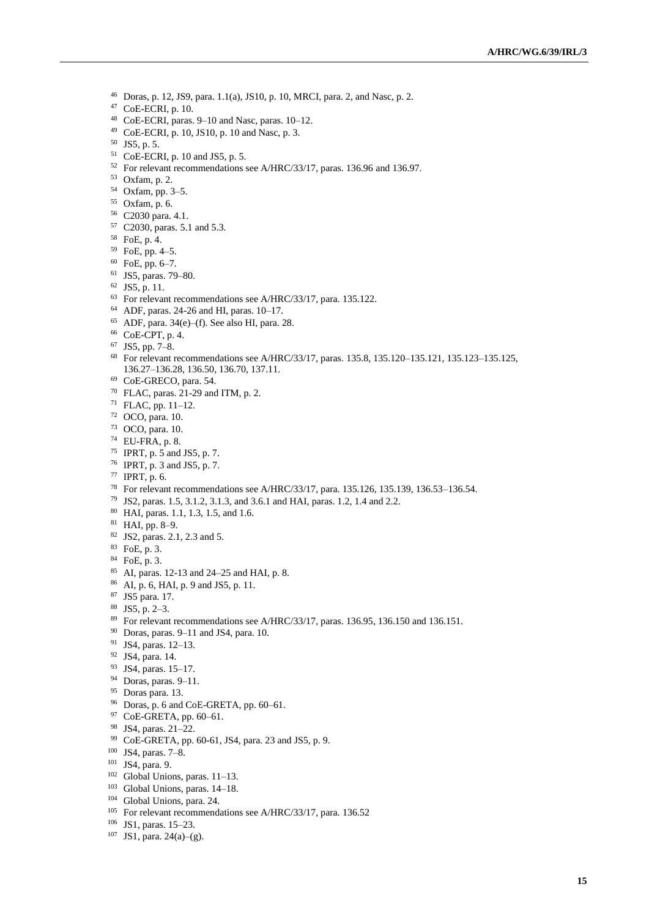- Doras, p. 12, JS9, para. 1.1(a), JS10, p. 10, MRCI, para. 2, and Nasc, p. 2.
- CoE-ECRI, p. 10.
- CoE-ECRI, paras. 9–10 and Nasc, paras. 10–12.
- CoE-ECRI, p. 10, JS10, p. 10 and Nasc, p. 3.
- JS5, p. 5.
- CoE-ECRI, p. 10 and JS5, p. 5.
- For relevant recommendations see A/HRC/33/17, paras. 136.96 and 136.97.
- Oxfam, p. 2.
- Oxfam, pp. 3–5.
- Oxfam, p. 6.
- C2030 para. 4.1.
- C2030, paras. 5.1 and 5.3.
- FoE, p. 4.
- FoE, pp. 4–5.
- FoE, pp. 6–7.
- JS5, paras. 79–80.
- JS5, p. 11.
- For relevant recommendations see A/HRC/33/17, para. 135.122.
- ADF, paras. 24-26 and HI, paras. 10–17.
- ADF, para. 34(e)–(f). See also HI, para. 28.
- CoE-CPT, p. 4.
- JS5, pp. 7–8.
- For relevant recommendations see A/HRC/33/17, paras. 135.8, 135.120–135.121, 135.123–135.125, 136.27–136.28, 136.50, 136.70, 137.11.
- CoE-GRECO, para. 54.
- FLAC, paras. 21-29 and ITM, p. 2.
- FLAC, pp. 11–12.
- OCO, para. 10.
- OCO, para. 10.
- EU-FRA, p. 8.
- IPRT, p. 5 and JS5, p. 7.
- IPRT, p. 3 and JS5, p. 7.
- IPRT, p. 6.
- For relevant recommendations see A/HRC/33/17, para. 135.126, 135.139, 136.53–136.54.
- JS2, paras. 1.5, 3.1.2, 3.1.3, and 3.6.1 and HAI, paras. 1.2, 1.4 and 2.2.
- HAI, paras. 1.1, 1.3, 1.5, and 1.6.
- HAI, pp. 8–9.
- JS2, paras. 2.1, 2.3 and 5.
- FoE, p. 3.
- FoE, p. 3.
- AI, paras. 12-13 and 24–25 and HAI, p. 8.
- AI, p. 6, HAI, p. 9 and JS5, p. 11.
- JS5 para. 17.
- JS5, p. 2–3.
- For relevant recommendations see A/HRC/33/17, paras. 136.95, 136.150 and 136.151.
- Doras, paras. 9–11 and JS4, para. 10.
- JS4, paras. 12–13.
- JS4, para. 14.
- JS4, paras. 15–17.
- Doras, paras. 9–11.
- Doras para. 13.
- Doras, p. 6 and CoE-GRETA, pp. 60–61.
- CoE-GRETA, pp. 60–61.
- JS4, paras. 21–22.
- CoE-GRETA, pp. 60-61, JS4, para. 23 and JS5, p. 9.
- JS4, paras. 7–8.
- JS4, para. 9.
- Global Unions, paras. 11–13.
- Global Unions, paras. 14–18.
- Global Unions, para. 24.
- <sup>105</sup> For relevant recommendations see A/HRC/33/17, para. 136.52
- JS1, paras. 15–23.
- JS1, para. 24(a)–(g).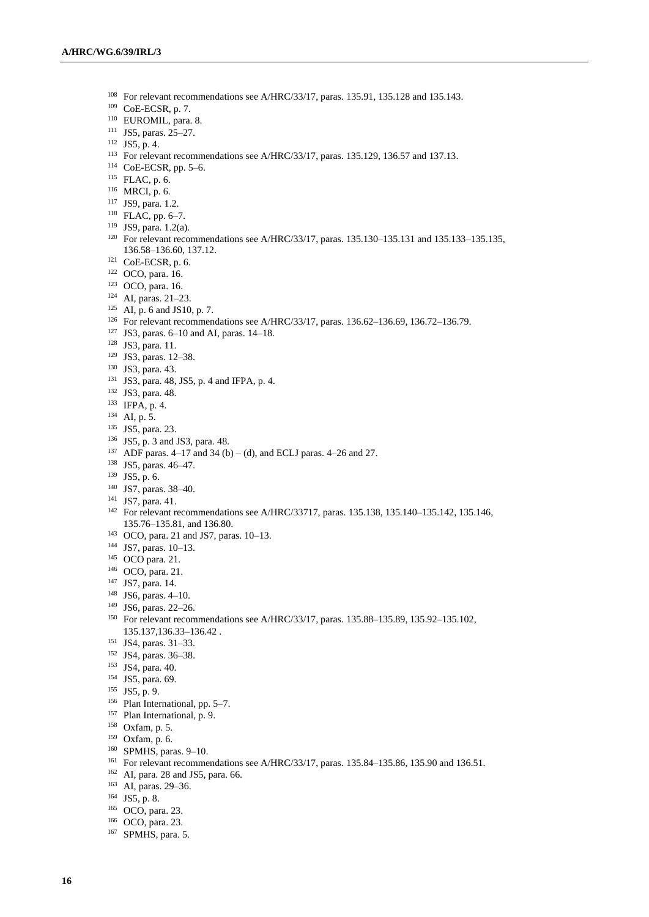- <sup>108</sup> For relevant recommendations see A/HRC/33/17, paras. 135.91, 135.128 and 135.143.
- CoE-ECSR, p. 7.
- EUROMIL, para. 8.
- JS5, paras. 25–27.
- JS5, p. 4.
- For relevant recommendations see A/HRC/33/17, paras. 135.129, 136.57 and 137.13.
- CoE-ECSR, pp. 5–6.
- FLAC, p. 6.
- MRCI, p. 6.
- JS9, para. 1.2.
- FLAC, pp. 6–7.
- JS9, para. 1.2(a).
- For relevant recommendations see A/HRC/33/17, paras. 135.130–135.131 and 135.133–135.135, 136.58–136.60, 137.12.
- CoE-ECSR, p. 6.
- OCO, para. 16.
- OCO, para. 16.
- AI, paras. 21–23.
- AI, p. 6 and JS10, p. 7.
- For relevant recommendations see A/HRC/33/17, paras. 136.62–136.69, 136.72–136.79.
- JS3, paras. 6–10 and AI, paras. 14–18.
- JS3, para. 11.
- JS3, paras. 12–38.
- JS3, para. 43.
- JS3, para. 48, JS5, p. 4 and IFPA, p. 4.
- JS3, para. 48.
- IFPA, p. 4.
- AI, p. 5.
- JS5, para. 23.
- JS5, p. 3 and JS3, para. 48.
- <sup>137</sup> ADF paras. 4–17 and 34 (b) (d), and ECLJ paras. 4–26 and 27.
- JS5, paras. 46–47.
- JS5, p. 6.
- JS7, paras. 38–40.
- JS7, para. 41.
- For relevant recommendations see A/HRC/33717, paras. 135.138, 135.140–135.142, 135.146, 135.76–135.81, and 136.80.
- OCO, para. 21 and JS7, paras. 10–13.
- JS7, paras. 10–13.
- OCO para. 21.
- OCO, para. 21.
- JS7, para. 14.
- JS6, paras. 4–10.
- JS6, paras. 22–26.
- For relevant recommendations see A/HRC/33/17, paras. 135.88–135.89, 135.92–135.102, 135.137,136.33–136.42 .
- JS4, paras. 31–33.
- JS4, paras. 36–38.
- JS4, para. 40.
- JS5, para. 69.
- JS5, p. 9.
- Plan International, pp. 5–7.
- Plan International, p. 9.
- Oxfam, p. 5.
- Oxfam, p. 6.
- SPMHS, paras. 9–10.
- For relevant recommendations see A/HRC/33/17, paras. 135.84–135.86, 135.90 and 136.51.
- AI, para. 28 and JS5, para. 66.
- AI, paras. 29–36.
- JS5, p. 8.
- OCO, para. 23.
- OCO, para. 23.
- SPMHS, para. 5.